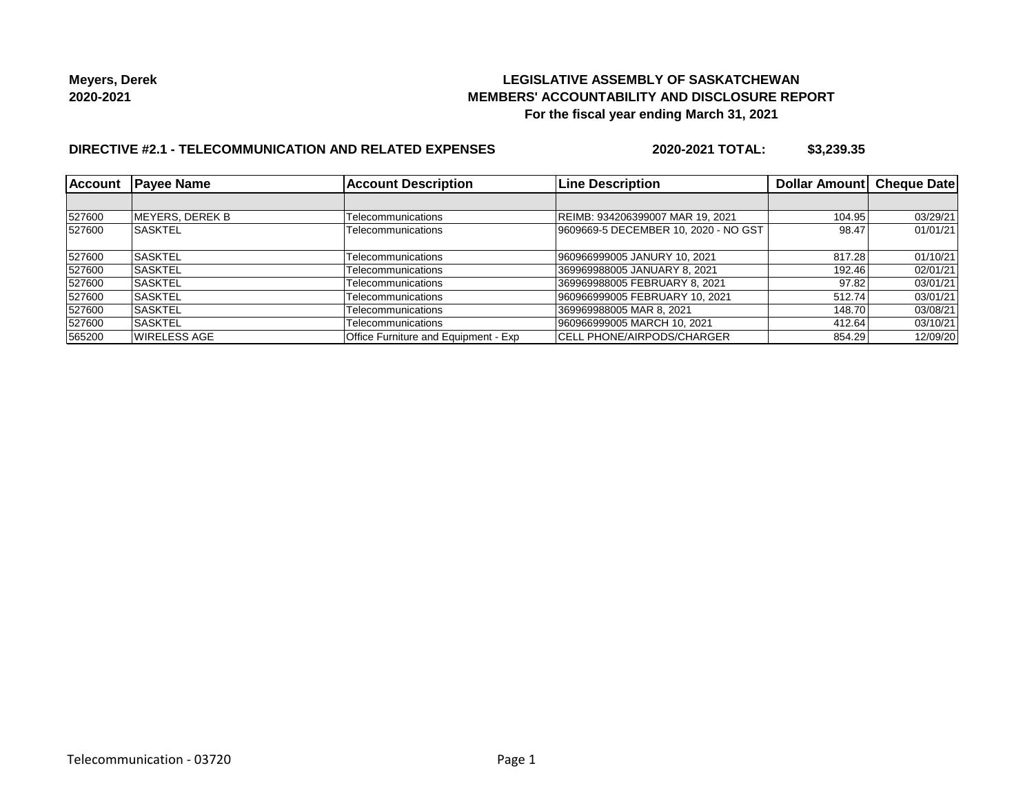### **LEGISLATIVE ASSEMBLY OF SASKATCHEWAN MEMBERS' ACCOUNTABILITY AND DISCLOSURE REPORT For the fiscal year ending March 31, 2021**

### **DIRECTIVE #2.1 - TELECOMMUNICATION AND RELATED EXPENSES**

**2020-2021 TOTAL: \$3,239.35**

| <b>Account</b> | <b>Pavee Name</b> | <b>Account Description</b>           | <b>Line Description</b>              | Dollar Amount | <b>Cheque Date</b> |
|----------------|-------------------|--------------------------------------|--------------------------------------|---------------|--------------------|
|                |                   |                                      |                                      |               |                    |
| 527600         | MEYERS, DEREK B   | Telecommunications                   | REIMB: 934206399007 MAR 19, 2021     | 104.95        | 03/29/21           |
| 527600         | <b>SASKTEL</b>    | Telecommunications                   | 9609669-5 DECEMBER 10, 2020 - NO GST | 98.47         | 01/01/21           |
| 527600         | <b>SASKTEL</b>    | Telecommunications                   | 960966999005 JANURY 10, 2021         | 817.28        | 01/10/21           |
| 527600         | <b>ISASKTEL</b>   | Telecommunications                   | 369969988005 JANUARY 8, 2021         | 192.46        | 02/01/21           |
| 527600         | <b>SASKTEL</b>    | Telecommunications                   | 369969988005 FEBRUARY 8, 2021        | 97.82         | 03/01/21           |
| 527600         | <b>ISASKTEL</b>   | Telecommunications                   | 960966999005 FEBRUARY 10, 2021       | 512.74        | 03/01/21           |
| 527600         | <b>ISASKTEL</b>   | Telecommunications                   | 369969988005 MAR 8, 2021             | 148.70        | 03/08/21           |
| 527600         | <b>SASKTEL</b>    | Telecommunications                   | 960966999005 MARCH 10, 2021          | 412.64        | 03/10/21           |
| 565200         | WIRELESS AGE      | Office Furniture and Equipment - Exp | ICELL PHONE/AIRPODS/CHARGER          | 854.29        | 12/09/20           |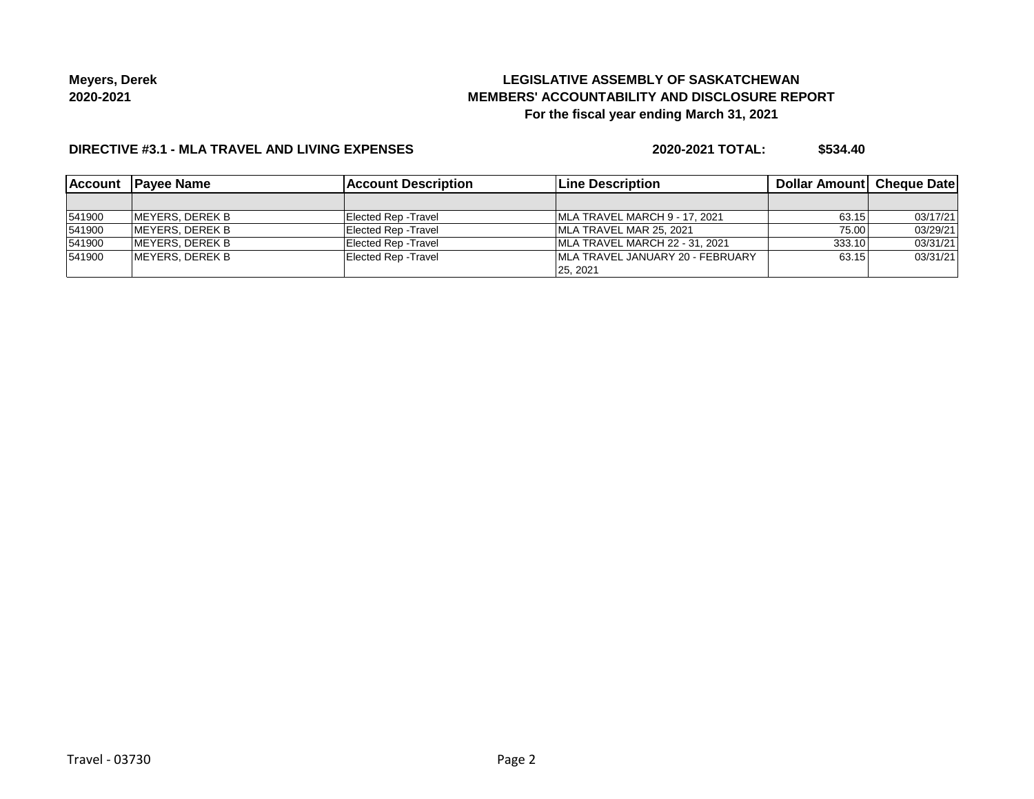# **LEGISLATIVE ASSEMBLY OF SASKATCHEWAN MEMBERS' ACCOUNTABILITY AND DISCLOSURE REPORT For the fiscal year ending March 31, 2021**

### **DIRECTIVE #3.1 - MLA TRAVEL AND LIVING EXPENSES**

**2020-2021 TOTAL: \$534.40**

| <b>Account</b> | <b>IPavee Name</b> | <b>Account Description</b>  | <b>Line Description</b>           | <b>Dollar Amountl Cheque Date</b> |          |
|----------------|--------------------|-----------------------------|-----------------------------------|-----------------------------------|----------|
|                |                    |                             |                                   |                                   |          |
| 541900         | IMEYERS. DEREK B   | Elected Rep - Travel        | MLA TRAVEL MARCH 9 - 17, 2021     | 63.15                             | 03/17/21 |
| 541900         | MEYERS, DEREK B    | Elected Rep - Travel        | MLA TRAVEL MAR 25, 2021           | 75.00                             | 03/29/21 |
| 541900         | MEYERS, DEREK B    | Elected Rep - Travel        | IMLA TRAVEL MARCH 22 - 31, 2021   | 333.10                            | 03/31/21 |
| 541900         | MEYERS, DEREK B    | <b>Elected Rep - Travel</b> | IMLA TRAVEL JANUARY 20 - FEBRUARY | 63.15                             | 03/31/21 |
|                |                    |                             | 25.2021                           |                                   |          |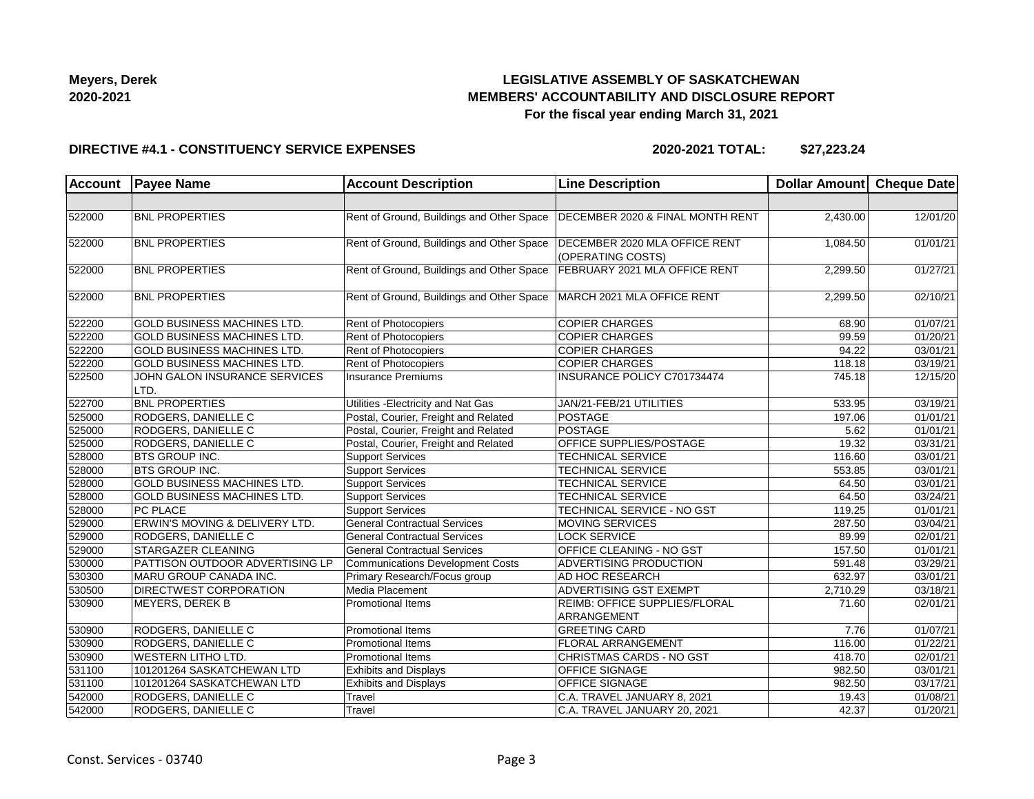

# **LEGISLATIVE ASSEMBLY OF SASKATCHEWAN MEMBERS' ACCOUNTABILITY AND DISCLOSURE REPORT For the fiscal year ending March 31, 2021**

#### **DIRECTIVE #4.1 - CONSTITUENCY SERVICE EXPENSES**

**2020-2021 TOTAL: \$27,223.24**

| <b>Account</b> | <b>Payee Name</b>                     | <b>Account Description</b>                                             | <b>Line Description</b>                            | Dollar Amount Cheque Date |                       |
|----------------|---------------------------------------|------------------------------------------------------------------------|----------------------------------------------------|---------------------------|-----------------------|
|                |                                       |                                                                        |                                                    |                           |                       |
| 522000         | <b>BNL PROPERTIES</b>                 | Rent of Ground, Buildings and Other Space                              | DECEMBER 2020 & FINAL MONTH RENT                   | 2,430.00                  | 12/01/20              |
| 522000         | <b>BNL PROPERTIES</b>                 | Rent of Ground, Buildings and Other Space                              | DECEMBER 2020 MLA OFFICE RENT<br>(OPERATING COSTS) | 1,084.50                  | 01/01/21              |
| 522000         | <b>BNL PROPERTIES</b>                 | Rent of Ground, Buildings and Other Space                              | FEBRUARY 2021 MLA OFFICE RENT                      | 2,299.50                  | 01/27/21              |
| 522000         | <b>BNL PROPERTIES</b>                 | Rent of Ground, Buildings and Other Space   MARCH 2021 MLA OFFICE RENT |                                                    | 2,299.50                  | 02/10/21              |
| 522200         | GOLD BUSINESS MACHINES LTD.           | Rent of Photocopiers                                                   | <b>COPIER CHARGES</b>                              | 68.90                     | 01/07/21              |
| 522200         | <b>GOLD BUSINESS MACHINES LTD.</b>    | Rent of Photocopiers                                                   | <b>COPIER CHARGES</b>                              | 99.59                     | 01/20/21              |
| 522200         | GOLD BUSINESS MACHINES LTD.           | Rent of Photocopiers                                                   | <b>COPIER CHARGES</b>                              | 94.22                     | 03/01/21              |
| 522200         | <b>GOLD BUSINESS MACHINES LTD.</b>    | Rent of Photocopiers                                                   | <b>COPIER CHARGES</b>                              | 118.18                    | 03/19/21              |
| 522500         | JOHN GALON INSURANCE SERVICES<br>LTD. | <b>Insurance Premiums</b>                                              | INSURANCE POLICY C701734474                        | 745.18                    | 12/15/20              |
| 522700         | <b>BNL PROPERTIES</b>                 | Utilities - Electricity and Nat Gas                                    | JAN/21-FEB/21 UTILITIES                            | 533.95                    | 03/19/21              |
| 525000         | <b>RODGERS, DANIELLE C</b>            | Postal, Courier, Freight and Related                                   | <b>POSTAGE</b>                                     | 197.06                    | 01/01/21              |
| 525000         | RODGERS, DANIELLE C                   | Postal, Courier, Freight and Related                                   | <b>POSTAGE</b>                                     | 5.62                      | 01/01/21              |
| 525000         | RODGERS, DANIELLE C                   | Postal, Courier, Freight and Related                                   | OFFICE SUPPLIES/POSTAGE                            | 19.32                     | 03/31/21              |
| 528000         | <b>BTS GROUP INC.</b>                 | <b>Support Services</b>                                                | <b>TECHNICAL SERVICE</b>                           | 116.60                    | 03/01/21              |
| 528000         | <b>BTS GROUP INC.</b>                 | <b>Support Services</b>                                                | <b>TECHNICAL SERVICE</b>                           | 553.85                    | 03/01/21              |
| 528000         | <b>GOLD BUSINESS MACHINES LTD.</b>    | <b>Support Services</b>                                                | <b>TECHNICAL SERVICE</b>                           | 64.50                     | 03/01/21              |
| 528000         | <b>GOLD BUSINESS MACHINES LTD.</b>    | <b>Support Services</b>                                                | <b>TECHNICAL SERVICE</b>                           | 64.50                     | 03/24/21              |
| 528000         | PC PLACE                              | <b>Support Services</b>                                                | TECHNICAL SERVICE - NO GST                         | 119.25                    | 01/01/21              |
| 529000         | ERWIN'S MOVING & DELIVERY LTD.        | <b>General Contractual Services</b>                                    | <b>MOVING SERVICES</b>                             | 287.50                    | 03/04/21              |
| 529000         | RODGERS, DANIELLE C                   | General Contractual Services                                           | <b>LOCK SERVICE</b>                                | 89.99                     | 02/01/21              |
| 529000         | STARGAZER CLEANING                    | <b>General Contractual Services</b>                                    | <b>OFFICE CLEANING - NO GST</b>                    | 157.50                    | 01/01/21              |
| 530000         | PATTISON OUTDOOR ADVERTISING LP       | <b>Communications Development Costs</b>                                | <b>ADVERTISING PRODUCTION</b>                      | 591.48                    | 03/29/21              |
| 530300         | MARU GROUP CANADA INC.                | Primary Research/Focus group                                           | <b>AD HOC RESEARCH</b>                             | 632.97                    | 03/01/21              |
| 530500         | DIRECTWEST CORPORATION                | Media Placement                                                        | <b>ADVERTISING GST EXEMPT</b>                      | 2,710.29                  | 03/18/21              |
| 530900         | <b>MEYERS, DEREK B</b>                | <b>Promotional Items</b>                                               | REIMB: OFFICE SUPPLIES/FLORAL<br>ARRANGEMENT       | 71.60                     | 02/01/21              |
| 530900         | RODGERS, DANIELLE C                   | Promotional Items                                                      | <b>GREETING CARD</b>                               | 7.76                      | 01/07/21              |
| 530900         | RODGERS, DANIELLE C                   | <b>Promotional Items</b>                                               | <b>FLORAL ARRANGEMENT</b>                          | 116.00                    | 01/22/21              |
| 530900         | <b>WESTERN LITHO LTD.</b>             | <b>Promotional Items</b>                                               | CHRISTMAS CARDS - NO GST                           | 418.70                    | $\overline{02/01/21}$ |
| 531100         | 101201264 SASKATCHEWAN LTD            | <b>Exhibits and Displays</b>                                           | <b>OFFICE SIGNAGE</b>                              | 982.50                    | 03/01/21              |
| 531100         | 101201264 SASKATCHEWAN LTD            | <b>Exhibits and Displays</b>                                           | OFFICE SIGNAGE                                     | 982.50                    | 03/17/21              |
| 542000         | RODGERS, DANIELLE C                   | Travel                                                                 | C.A. TRAVEL JANUARY 8, 2021                        | 19.43                     | 01/08/21              |
| 542000         | RODGERS, DANIELLE C                   | Travel                                                                 | C.A. TRAVEL JANUARY 20, 2021                       | 42.37                     | 01/20/21              |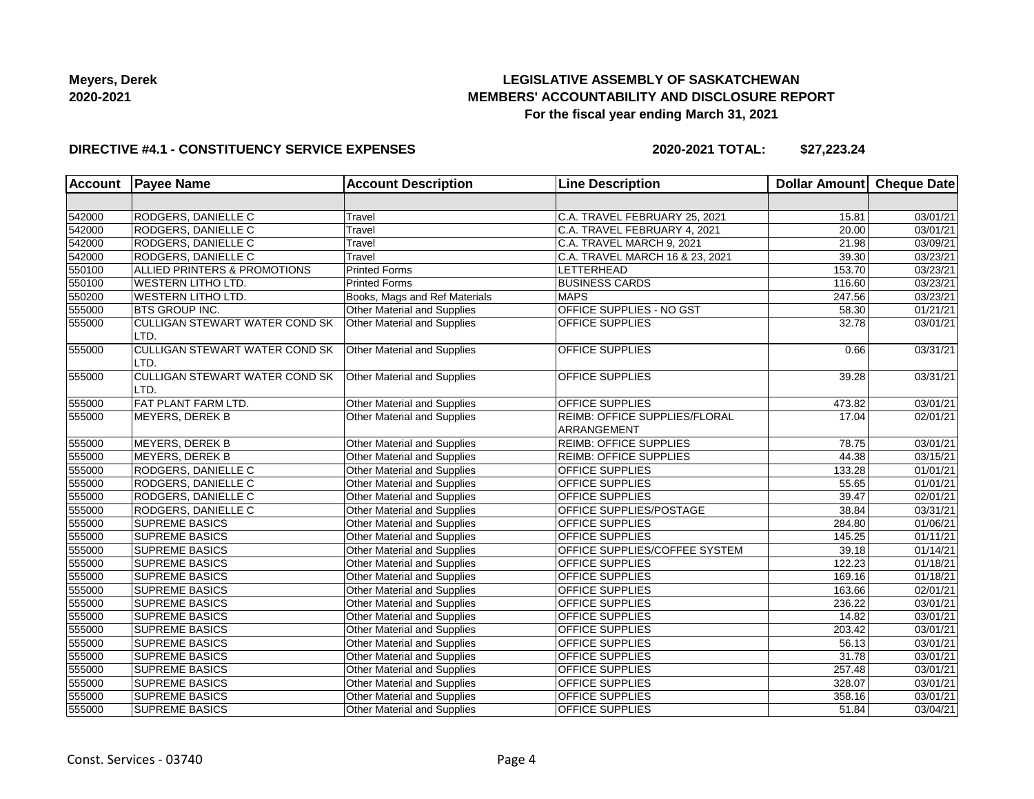# **LEGISLATIVE ASSEMBLY OF SASKATCHEWAN MEMBERS' ACCOUNTABILITY AND DISCLOSURE REPORT For the fiscal year ending March 31, 2021**

### **DIRECTIVE #4.1 - CONSTITUENCY SERVICE EXPENSES**

**2020-2021 TOTAL: \$27,223.24**

| <b>Account</b> | <b>Payee Name</b>                             | <b>Account Description</b>         | <b>Line Description</b>                      | Dollar Amount Cheque Date |          |
|----------------|-----------------------------------------------|------------------------------------|----------------------------------------------|---------------------------|----------|
|                |                                               |                                    |                                              |                           |          |
| 542000         | RODGERS, DANIELLE C                           | Travel                             | C.A. TRAVEL FEBRUARY 25, 2021                | 15.81                     | 03/01/21 |
| 542000         | RODGERS, DANIELLE C                           | Travel                             | C.A. TRAVEL FEBRUARY 4, 2021                 | 20.00                     | 03/01/21 |
| 542000         | RODGERS, DANIELLE C                           | Travel                             | C.A. TRAVEL MARCH 9, 2021                    | 21.98                     | 03/09/21 |
| 542000         | RODGERS, DANIELLE C                           | Travel                             | C.A. TRAVEL MARCH 16 & 23, 2021              | 39.30                     | 03/23/21 |
| 550100         | ALLIED PRINTERS & PROMOTIONS                  | <b>Printed Forms</b>               | <b>LETTERHEAD</b>                            | 153.70                    | 03/23/21 |
| 550100         | <b>WESTERN LITHO LTD.</b>                     | <b>Printed Forms</b>               | <b>BUSINESS CARDS</b>                        | 116.60                    | 03/23/21 |
| 550200         | <b>WESTERN LITHO LTD.</b>                     | Books, Mags and Ref Materials      | <b>MAPS</b>                                  | 247.56                    | 03/23/21 |
| 555000         | <b>BTS GROUP INC.</b>                         | <b>Other Material and Supplies</b> | OFFICE SUPPLIES - NO GST                     | 58.30                     | 01/21/21 |
| 555000         | CULLIGAN STEWART WATER COND SK<br>LTD.        | Other Material and Supplies        | OFFICE SUPPLIES                              | 32.78                     | 03/01/21 |
| 555000         | <b>CULLIGAN STEWART WATER COND SK</b><br>LTD. | Other Material and Supplies        | OFFICE SUPPLIES                              | 0.66                      | 03/31/21 |
| 555000         | CULLIGAN STEWART WATER COND SK<br>LTD.        | Other Material and Supplies        | OFFICE SUPPLIES                              | 39.28                     | 03/31/21 |
| 555000         | <b>FAT PLANT FARM LTD.</b>                    | Other Material and Supplies        | <b>OFFICE SUPPLIES</b>                       | 473.82                    | 03/01/21 |
| 555000         | <b>MEYERS, DEREK B</b>                        | Other Material and Supplies        | REIMB: OFFICE SUPPLIES/FLORAL<br>ARRANGEMENT | 17.04                     | 02/01/21 |
| 555000         | <b>MEYERS, DEREK B</b>                        | Other Material and Supplies        | <b>REIMB: OFFICE SUPPLIES</b>                | 78.75                     | 03/01/21 |
| 555000         | MEYERS, DEREK B                               | Other Material and Supplies        | <b>REIMB: OFFICE SUPPLIES</b>                | 44.38                     | 03/15/21 |
| 555000         | RODGERS, DANIELLE C                           | Other Material and Supplies        | <b>OFFICE SUPPLIES</b>                       | 133.28                    | 01/01/21 |
| 555000         | <b>RODGERS, DANIELLE C</b>                    | Other Material and Supplies        | OFFICE SUPPLIES                              | 55.65                     | 01/01/21 |
| 555000         | RODGERS, DANIELLE C                           | Other Material and Supplies        | <b>OFFICE SUPPLIES</b>                       | 39.47                     | 02/01/21 |
| 555000         | RODGERS, DANIELLE C                           | Other Material and Supplies        | OFFICE SUPPLIES/POSTAGE                      | 38.84                     | 03/31/21 |
| 555000         | <b>SUPREME BASICS</b>                         | Other Material and Supplies        | OFFICE SUPPLIES                              | 284.80                    | 01/06/21 |
| 555000         | <b>SUPREME BASICS</b>                         | <b>Other Material and Supplies</b> | <b>OFFICE SUPPLIES</b>                       | 145.25                    | 01/11/21 |
| 555000         | <b>SUPREME BASICS</b>                         | Other Material and Supplies        | OFFICE SUPPLIES/COFFEE SYSTEM                | 39.18                     | 01/14/21 |
| 555000         | <b>SUPREME BASICS</b>                         | Other Material and Supplies        | <b>OFFICE SUPPLIES</b>                       | 122.23                    | 01/18/21 |
| 555000         | <b>SUPREME BASICS</b>                         | Other Material and Supplies        | <b>OFFICE SUPPLIES</b>                       | 169.16                    | 01/18/21 |
| 555000         | <b>SUPREME BASICS</b>                         | Other Material and Supplies        | <b>OFFICE SUPPLIES</b>                       | 163.66                    | 02/01/21 |
| 555000         | <b>SUPREME BASICS</b>                         | Other Material and Supplies        | OFFICE SUPPLIES                              | 236.22                    | 03/01/21 |
| 555000         | <b>SUPREME BASICS</b>                         | Other Material and Supplies        | <b>OFFICE SUPPLIES</b>                       | 14.82                     | 03/01/21 |
| 555000         | <b>SUPREME BASICS</b>                         | Other Material and Supplies        | <b>OFFICE SUPPLIES</b>                       | 203.42                    | 03/01/21 |
| 555000         | <b>SUPREME BASICS</b>                         | Other Material and Supplies        | <b>OFFICE SUPPLIES</b>                       | 56.13                     | 03/01/21 |
| 555000         | <b>SUPREME BASICS</b>                         | Other Material and Supplies        | <b>OFFICE SUPPLIES</b>                       | 31.78                     | 03/01/21 |
| 555000         | <b>SUPREME BASICS</b>                         | Other Material and Supplies        | OFFICE SUPPLIES                              | 257.48                    | 03/01/21 |
| 555000         | <b>SUPREME BASICS</b>                         | Other Material and Supplies        | <b>OFFICE SUPPLIES</b>                       | 328.07                    | 03/01/21 |
| 555000         | <b>SUPREME BASICS</b>                         | Other Material and Supplies        | <b>OFFICE SUPPLIES</b>                       | 358.16                    | 03/01/21 |
| 555000         | <b>SUPREME BASICS</b>                         | <b>Other Material and Supplies</b> | <b>OFFICE SUPPLIES</b>                       | 51.84                     | 03/04/21 |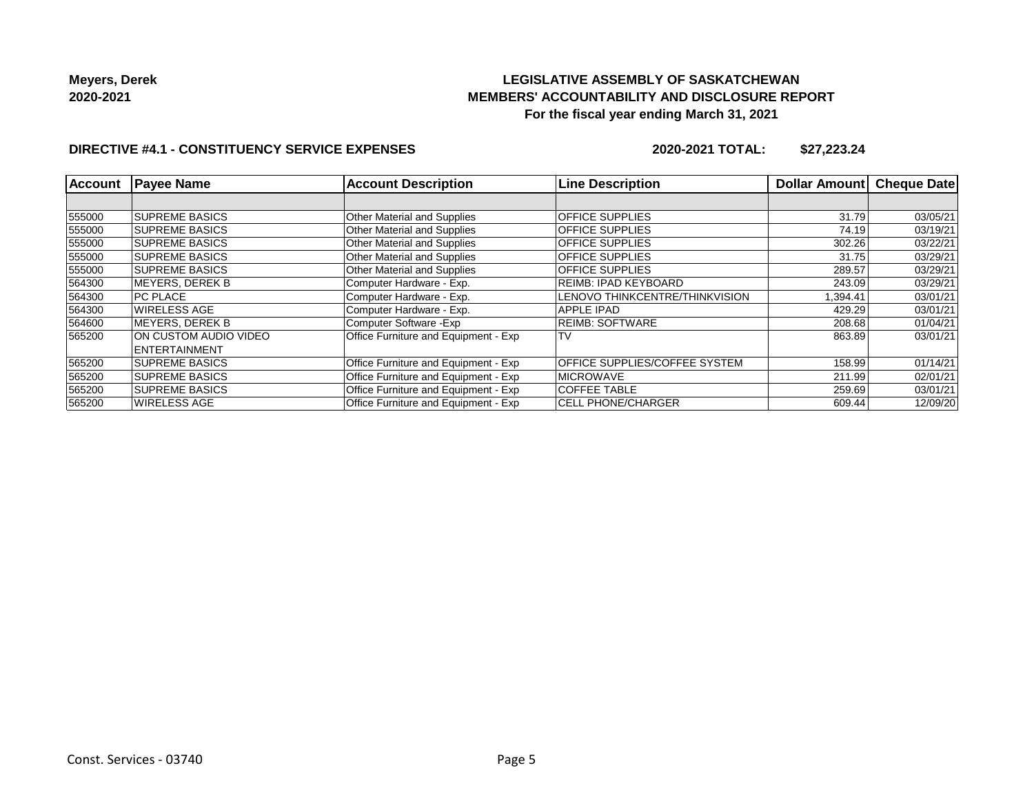# **LEGISLATIVE ASSEMBLY OF SASKATCHEWAN MEMBERS' ACCOUNTABILITY AND DISCLOSURE REPORT For the fiscal year ending March 31, 2021**

### **DIRECTIVE #4.1 - CONSTITUENCY SERVICE EXPENSES**

**2020-2021 TOTAL: \$27,223.24**

| <b>Account</b> | <b>Payee Name</b>       | <b>Account Description</b>           | <b>Line Description</b>        | <b>Dollar Amountl</b> | <b>Cheque Date</b> |
|----------------|-------------------------|--------------------------------------|--------------------------------|-----------------------|--------------------|
|                |                         |                                      |                                |                       |                    |
| 555000         | <b>SUPREME BASICS</b>   | <b>Other Material and Supplies</b>   | <b>OFFICE SUPPLIES</b>         | 31.79                 | 03/05/21           |
| 555000         | <b>SUPREME BASICS</b>   | <b>Other Material and Supplies</b>   | <b>OFFICE SUPPLIES</b>         | 74.19                 | 03/19/21           |
| 555000         | <b>SUPREME BASICS</b>   | Other Material and Supplies          | <b>OFFICE SUPPLIES</b>         | 302.26                | 03/22/21           |
| 555000         | <b>SUPREME BASICS</b>   | <b>Other Material and Supplies</b>   | <b>OFFICE SUPPLIES</b>         | 31.75                 | 03/29/21           |
| 555000         | <b>SUPREME BASICS</b>   | <b>Other Material and Supplies</b>   | <b>OFFICE SUPPLIES</b>         | 289.57                | 03/29/21           |
| 564300         | MEYERS. DEREK B         | Computer Hardware - Exp.             | REIMB: IPAD KEYBOARD           | 243.09                | 03/29/21           |
| 564300         | <b>PC PLACE</b>         | Computer Hardware - Exp.             | LENOVO THINKCENTRE/THINKVISION | 1,394.41              | 03/01/21           |
| 564300         | <b>WIRELESS AGE</b>     | Computer Hardware - Exp.             | APPLE IPAD                     | 429.29                | 03/01/21           |
| 564600         | <b>IMEYERS, DEREK B</b> | Computer Software - Exp              | <b>REIMB: SOFTWARE</b>         | 208.68                | 01/04/21           |
| 565200         | ION CUSTOM AUDIO VIDEO  | Office Furniture and Equipment - Exp | l TV                           | 863.89                | 03/01/21           |
|                | <b>ENTERTAINMENT</b>    |                                      |                                |                       |                    |
| 565200         | <b>SUPREME BASICS</b>   | Office Furniture and Equipment - Exp | OFFICE SUPPLIES/COFFEE SYSTEM  | 158.99                | 01/14/21           |
| 565200         | <b>ISUPREME BASICS</b>  | Office Furniture and Equipment - Exp | <b>IMICROWAVE</b>              | 211.99                | 02/01/21           |
| 565200         | <b>SUPREME BASICS</b>   | Office Furniture and Equipment - Exp | <b>COFFEE TABLE</b>            | 259.69                | 03/01/21           |
| 565200         | WIRELESS AGE            | Office Furniture and Equipment - Exp | <b>CELL PHONE/CHARGER</b>      | 609.44                | 12/09/20           |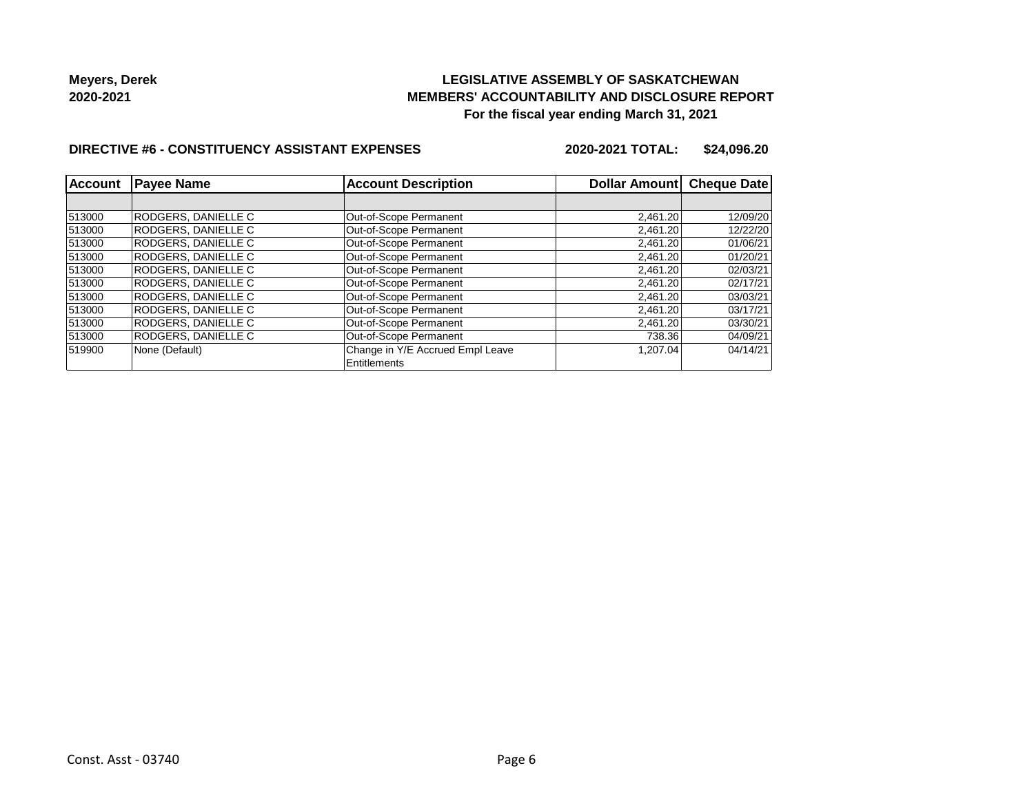### **LEGISLATIVE ASSEMBLY OF SASKATCHEWAN MEMBERS' ACCOUNTABILITY AND DISCLOSURE REPORT For the fiscal year ending March 31, 2021**

#### **DIRECTIVE #6 - CONSTITUENCY ASSISTANT EXPENSES**

**2020-2021 TOTAL: \$24,096.20**

| Account | <b>Payee Name</b>   | <b>Account Description</b>       | Dollar Amount Cheque Date |          |
|---------|---------------------|----------------------------------|---------------------------|----------|
|         |                     |                                  |                           |          |
| 513000  | RODGERS. DANIELLE C | Out-of-Scope Permanent           | 2,461.20                  | 12/09/20 |
| 513000  | RODGERS. DANIELLE C | Out-of-Scope Permanent           | 2.461.20                  | 12/22/20 |
| 513000  | RODGERS, DANIELLE C | Out-of-Scope Permanent           | 2,461.20                  | 01/06/21 |
| 513000  | RODGERS. DANIELLE C | Out-of-Scope Permanent           | 2.461.20                  | 01/20/21 |
| 513000  | RODGERS. DANIELLE C | Out-of-Scope Permanent           | 2,461.20                  | 02/03/21 |
| 513000  | RODGERS, DANIELLE C | Out-of-Scope Permanent           | 2,461.20                  | 02/17/21 |
| 513000  | RODGERS, DANIELLE C | Out-of-Scope Permanent           | 2,461.20                  | 03/03/21 |
| 513000  | RODGERS, DANIELLE C | Out-of-Scope Permanent           | 2,461.20                  | 03/17/21 |
| 513000  | RODGERS, DANIELLE C | Out-of-Scope Permanent           | 2,461.20                  | 03/30/21 |
| 513000  | RODGERS, DANIELLE C | Out-of-Scope Permanent           | 738.36                    | 04/09/21 |
| 519900  | None (Default)      | Change in Y/E Accrued Empl Leave | 1,207.04                  | 04/14/21 |
|         |                     | Entitlements                     |                           |          |